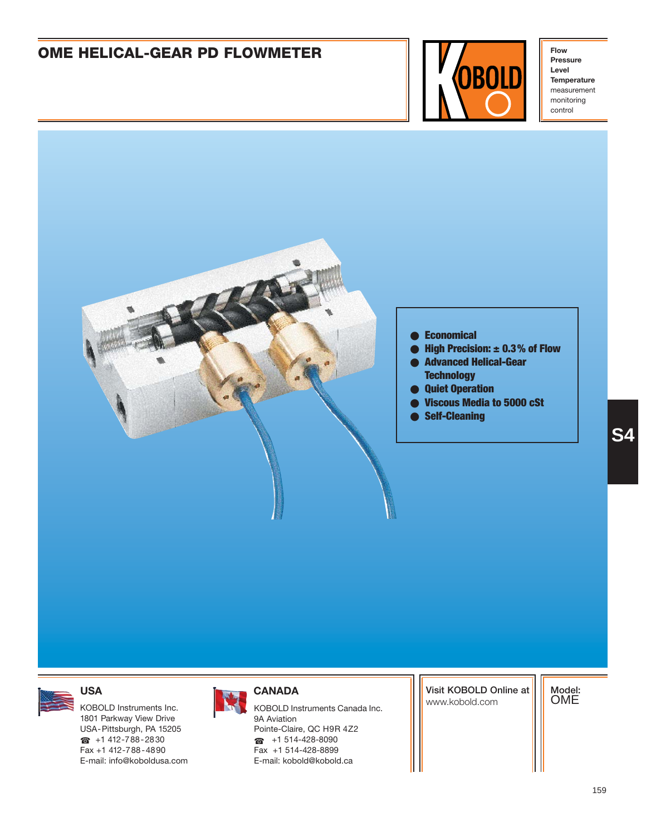

**Pressure Level Temperature** measurement monitoring control





1801 Parkway View Drive USA-Pittsburgh, PA 15205  $\bullet$  +1 412-788-2830 Fax +1 412-788-4890 E-mail: info@koboldusa.com



KOBOLD Instruments Inc. **KOBOLD Instruments Canada Inc.** And Instruments Canada Inc. 9A Aviation Pointe-Claire, QC H9R 4Z2  $\bullet$  +1 514-428-8090 Fax +1 514-428-8899 E-mail: kobold@kobold.ca

**Visit KOBOLD Online at**

**Model:** OME

**S4**